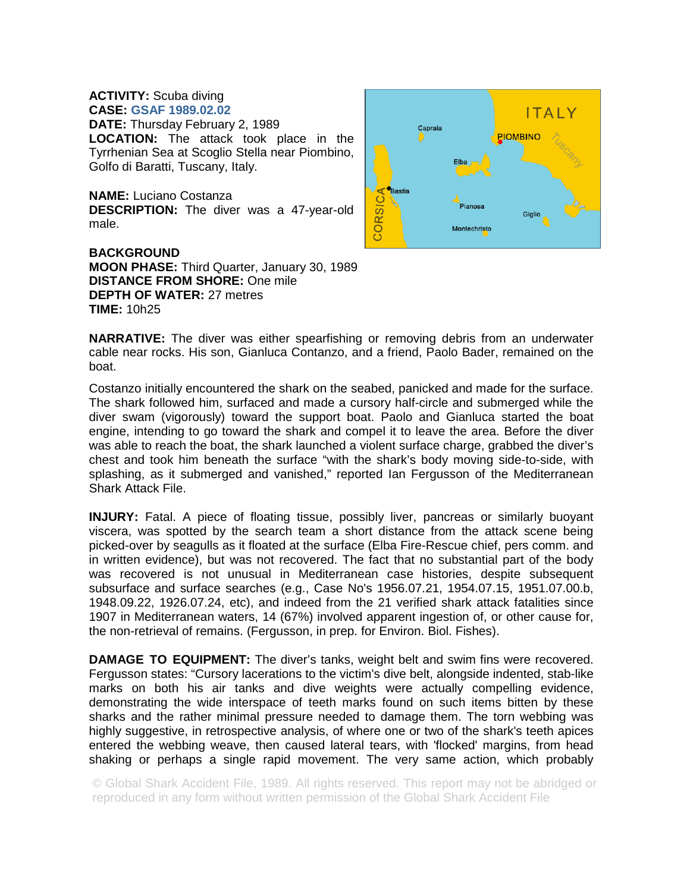## **ACTIVITY:** Scuba diving **CASE: GSAF 1989.02.02**

**DATE:** Thursday February 2, 1989 **LOCATION:** The attack took place in the Tyrrhenian Sea at Scoglio Stella near Piombino, Golfo di Baratti, Tuscany, Italy.

**NAME:** Luciano Costanza **DESCRIPTION:** The diver was a 47-year-old male.

**BACKGROUND MOON PHASE:** Third Quarter, January 30, 1989 **DISTANCE FROM SHORE:** One mile **DEPTH OF WATER:** 27 metres **TIME:** 10h25



**NARRATIVE:** The diver was either spearfishing or removing debris from an underwater cable near rocks. His son, Gianluca Contanzo, and a friend, Paolo Bader, remained on the boat.

Costanzo initially encountered the shark on the seabed, panicked and made for the surface. The shark followed him, surfaced and made a cursory half-circle and submerged while the diver swam (vigorously) toward the support boat. Paolo and Gianluca started the boat engine, intending to go toward the shark and compel it to leave the area. Before the diver was able to reach the boat, the shark launched a violent surface charge, grabbed the diver's chest and took him beneath the surface "with the shark's body moving side-to-side, with splashing, as it submerged and vanished," reported Ian Fergusson of the Mediterranean Shark Attack File.

**INJURY:** Fatal. A piece of floating tissue, possibly liver, pancreas or similarly buoyant viscera, was spotted by the search team a short distance from the attack scene being picked-over by seagulls as it floated at the surface (Elba Fire-Rescue chief, pers comm. and in written evidence), but was not recovered. The fact that no substantial part of the body was recovered is not unusual in Mediterranean case histories, despite subsequent subsurface and surface searches (e.g., Case No's 1956.07.21, 1954.07.15, 1951.07.00.b, 1948.09.22, 1926.07.24, etc), and indeed from the 21 verified shark attack fatalities since 1907 in Mediterranean waters, 14 (67%) involved apparent ingestion of, or other cause for, the non-retrieval of remains. (Fergusson, in prep. for Environ. Biol. Fishes).

**DAMAGE TO EQUIPMENT:** The diver's tanks, weight belt and swim fins were recovered. Fergusson states: "Cursory lacerations to the victim's dive belt, alongside indented, stab-like marks on both his air tanks and dive weights were actually compelling evidence, demonstrating the wide interspace of teeth marks found on such items bitten by these sharks and the rather minimal pressure needed to damage them. The torn webbing was highly suggestive, in retrospective analysis, of where one or two of the shark's teeth apices entered the webbing weave, then caused lateral tears, with 'flocked' margins, from head shaking or perhaps a single rapid movement. The very same action, which probably

© Global Shark Accident File, 1989. All rights reserved. This report may not be abridged or reproduced in any form without written permission of the Global Shark Accident File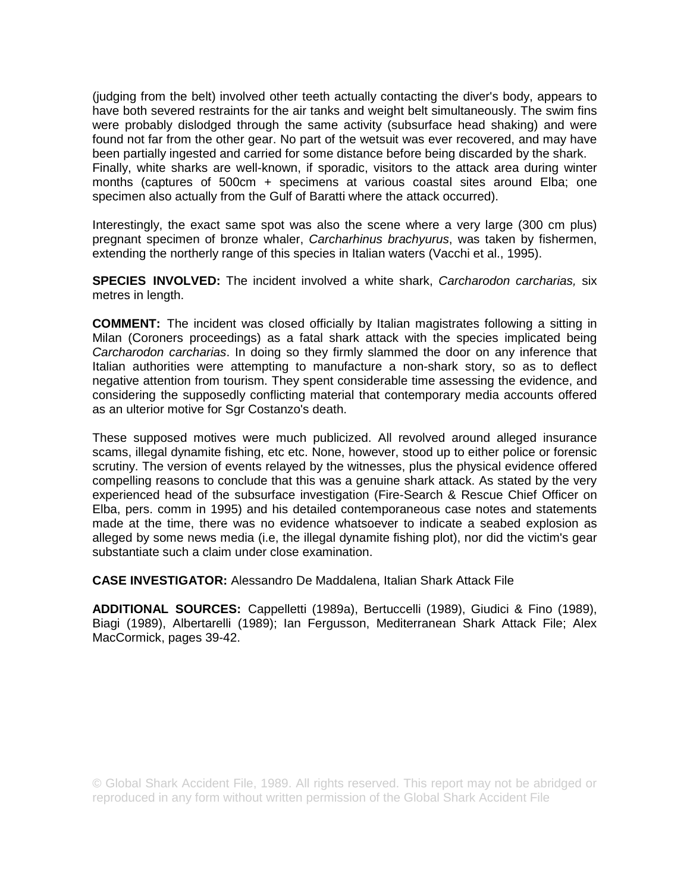(judging from the belt) involved other teeth actually contacting the diver's body, appears to have both severed restraints for the air tanks and weight belt simultaneously. The swim fins were probably dislodged through the same activity (subsurface head shaking) and were found not far from the other gear. No part of the wetsuit was ever recovered, and may have been partially ingested and carried for some distance before being discarded by the shark. Finally, white sharks are well-known, if sporadic, visitors to the attack area during winter months (captures of 500cm + specimens at various coastal sites around Elba; one specimen also actually from the Gulf of Baratti where the attack occurred).

Interestingly, the exact same spot was also the scene where a very large (300 cm plus) pregnant specimen of bronze whaler, *Carcharhinus brachyurus*, was taken by fishermen, extending the northerly range of this species in Italian waters (Vacchi et al., 1995).

**SPECIES INVOLVED:** The incident involved a white shark, *Carcharodon carcharias,* six metres in length.

**COMMENT:** The incident was closed officially by Italian magistrates following a sitting in Milan (Coroners proceedings) as a fatal shark attack with the species implicated being *Carcharodon carcharias*. In doing so they firmly slammed the door on any inference that Italian authorities were attempting to manufacture a non-shark story, so as to deflect negative attention from tourism. They spent considerable time assessing the evidence, and considering the supposedly conflicting material that contemporary media accounts offered as an ulterior motive for Sgr Costanzo's death.

These supposed motives were much publicized. All revolved around alleged insurance scams, illegal dynamite fishing, etc etc. None, however, stood up to either police or forensic scrutiny. The version of events relayed by the witnesses, plus the physical evidence offered compelling reasons to conclude that this was a genuine shark attack. As stated by the very experienced head of the subsurface investigation (Fire-Search & Rescue Chief Officer on Elba, pers. comm in 1995) and his detailed contemporaneous case notes and statements made at the time, there was no evidence whatsoever to indicate a seabed explosion as alleged by some news media (i.e, the illegal dynamite fishing plot), nor did the victim's gear substantiate such a claim under close examination.

**CASE INVESTIGATOR:** Alessandro De Maddalena, Italian Shark Attack File

**ADDITIONAL SOURCES:** Cappelletti (1989a), Bertuccelli (1989), Giudici & Fino (1989), Biagi (1989), Albertarelli (1989); Ian Fergusson, Mediterranean Shark Attack File; Alex MacCormick, pages 39-42.